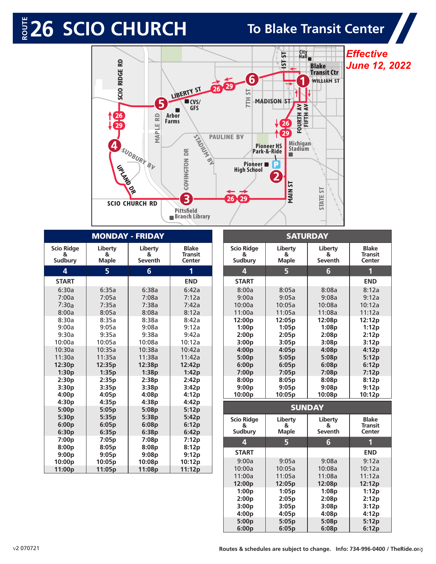

| <b>MONDAY - FRIDAY</b>            |                                             |                                                         |                                   |  |  |
|-----------------------------------|---------------------------------------------|---------------------------------------------------------|-----------------------------------|--|--|
| <b>Scio Ridge</b>                 | Liberty                                     | Liberty                                                 | <b>Blake</b>                      |  |  |
| 8                                 | 8                                           | &                                                       | <b>Transit</b>                    |  |  |
| Sudbury                           | <b>Maple</b>                                | Seventh                                                 | Center                            |  |  |
| 4                                 | 5                                           | $6\phantom{1}$                                          | 1                                 |  |  |
| <b>START</b>                      |                                             |                                                         | <b>END</b>                        |  |  |
| 6:30a                             | 6:35a                                       | 6:38a                                                   | 6:42a                             |  |  |
| 7:00a                             | 7:05a                                       | 7:08a                                                   | 7:12a                             |  |  |
| 7:30a                             | 7:35a                                       | 7:38a                                                   | 7:42a                             |  |  |
| 8:00a                             | 8:05a                                       | 8:08a                                                   | 8:12a                             |  |  |
| 8:30a                             | 8:35a                                       | 8:38a                                                   | 8:42a                             |  |  |
| 9:00a                             | 9:05a                                       | 9:08a                                                   | 9:12a                             |  |  |
| 9:30a                             | 9:35a                                       | 9:38a                                                   | 9:42a                             |  |  |
| 10:00a                            | 10:05a                                      | 10:08a                                                  | 10:12a                            |  |  |
| 10:30a                            | 10:35a                                      | 10:38a                                                  | 10:42a                            |  |  |
| 11:30a                            | 11:35a                                      | 11:38a                                                  | 11:42a                            |  |  |
| 12:30p                            | 12:35p                                      | 12:38p                                                  | 12:42p                            |  |  |
| 1:30p                             | 1:35p                                       | 1:38p                                                   | 1:42p                             |  |  |
| 2:30p                             | 2:35p                                       | 2:38p                                                   | 2:42p                             |  |  |
| 3:30p                             | 3:35p                                       | 3:38p                                                   | 3:42p                             |  |  |
| 4:00p                             | 4:05p                                       | 4:08p                                                   | 4:12p                             |  |  |
| 4:30p                             | 4:35p                                       | 4:38p                                                   | 4:42p                             |  |  |
| 5:00p                             | 5:05p                                       | 5:08p                                                   | 5:12p                             |  |  |
| 5:30p                             | 5:35p                                       | 5:38p                                                   | 5:42p                             |  |  |
| 6:00p                             | 6:05p                                       | 6:08p                                                   | 6:12p                             |  |  |
| 6:30p                             | 6:35p                                       | 6:38p                                                   | 6:42p                             |  |  |
| 7:00p<br>8:00p<br>9:00p<br>10:00p | 7:05p<br>8:05p<br>9:05p<br>10:05p<br>11:05p | 7:08p<br>8:08p<br>9:08p<br>10:08 <sub>p</sub><br>11:08p | 7:12p<br>8:12p<br>9:12p<br>10:12p |  |  |
| 11:00p                            |                                             |                                                         |                                   |  |  |

| <b>SATURDAY</b>         |                         |                 |                |  |  |
|-------------------------|-------------------------|-----------------|----------------|--|--|
| <b>Scio Ridge</b>       | Liberty                 | Liberty         | <b>Blake</b>   |  |  |
| &                       | &                       | &               | <b>Transit</b> |  |  |
| Sudbury                 | <b>Maple</b>            | Seventh         | Center         |  |  |
| $\overline{\mathbf{A}}$ | $\overline{\mathbf{5}}$ | $6\overline{6}$ | 1              |  |  |
| <b>START</b>            |                         |                 | <b>END</b>     |  |  |
| 8:00a                   | 8:05a                   | 8:08a           | 8:12a          |  |  |
| 9:00a                   | 9:05a                   | 9:08a           | 9:12a          |  |  |
| 10:00a                  | 10:05a                  | 10:08a          | 10:12a         |  |  |
| 11:00a                  | 11:05a                  | 11:08a          | 11:12a         |  |  |
| 12:00p                  | 12:05p                  | 12:08p          | 12:12p         |  |  |
| 1:00p                   | 1:05p                   | 1:08p           | 1:12p          |  |  |
| 2:00p                   | 2:05p                   | 2:08p           | 2:12p          |  |  |
| 3:00p                   | 3:05p                   | 3:08p           | 3:12p          |  |  |
| 4:00p                   | 4:05p                   | 4:08p           | 4:12p          |  |  |
| 5:00p                   | 5:05p                   | 5:08p           | 5:12p          |  |  |
| 6:00p                   | 6:05p                   | 6:08p           | 6:12p          |  |  |
| 7:00p                   | 7:05p                   | 7:08p           | 7:12p          |  |  |
| 8:00p                   | 8:05p                   | 8:08p           | 8:12p          |  |  |
| 9:00p                   | 9:05p                   | 9:08p           | 9:12p          |  |  |
| 10:00p                  | 10:05p                  | 10:08p          | 10:12p         |  |  |
|                         | <b>SUNDAY</b>           |                 |                |  |  |
| <b>Scio Ridge</b>       | Liberty                 | Liberty         | <b>Blake</b>   |  |  |
| &                       | &                       | 8               | <b>Transit</b> |  |  |
| <b>Sudbury</b>          | <b>Maple</b>            | Seventh         | Center         |  |  |
| $\overline{\mathbf{A}}$ | 5                       | $6\phantom{1}6$ | 1              |  |  |
| <b>START</b>            |                         |                 | <b>END</b>     |  |  |
| 9:00a                   | 9:05a                   | 9:08a           | 9:12a          |  |  |
| 10:00a                  | 10:05a                  | 10:08a          | 10:12a         |  |  |
| 11:00a                  | 11:05a                  | 11:08a          | 11:12a         |  |  |
| 12:00p                  | 12:05p                  | 12:08p          | 12:12p         |  |  |
| 1:00p                   | 1:05p                   | 1:08p           | 1:12p          |  |  |
| 2:00p                   | 2:05p                   | 2:08p           | 2:12p          |  |  |
| 3:00p                   | 3:05p                   | 3:08p           | 3:12p          |  |  |
| 4:00p                   | 4:05p                   | 4:08p           | 4:12p          |  |  |
| 5:00p                   | 5:05p                   | 5:08p           | 5:12p          |  |  |
| 6:00p                   | 6:05p                   | 6:08p           | 6:12p          |  |  |